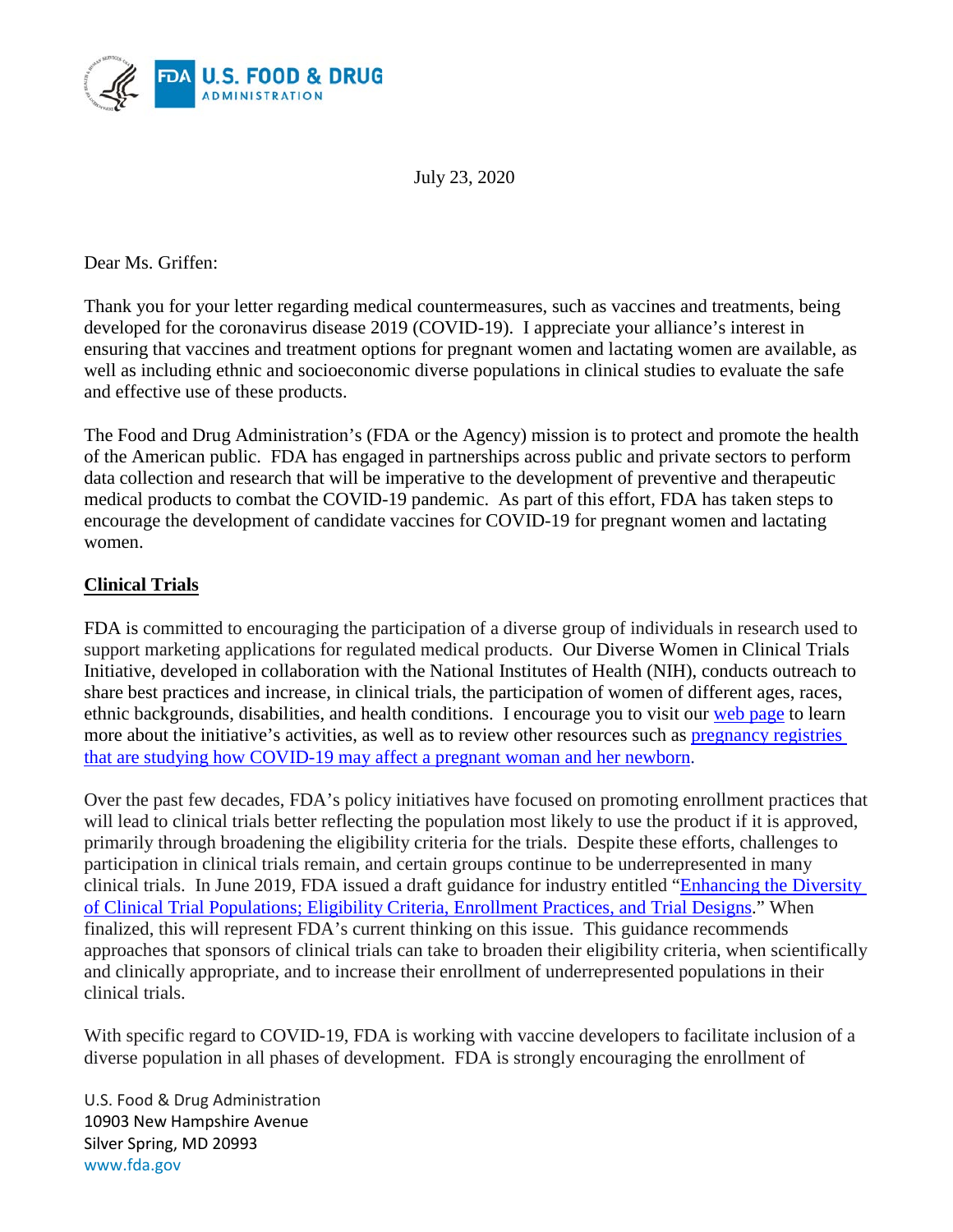

July 23, 2020

Dear Ms. Griffen:

Thank you for your letter regarding medical countermeasures, such as vaccines and treatments, being developed for the coronavirus disease 2019 (COVID-19). I appreciate your alliance's interest in ensuring that vaccines and treatment options for pregnant women and lactating women are available, as well as including ethnic and socioeconomic diverse populations in clinical studies to evaluate the safe and effective use of these products.

The Food and Drug Administration's (FDA or the Agency) mission is to protect and promote the health of the American public. FDA has engaged in partnerships across public and private sectors to perform data collection and research that will be imperative to the development of preventive and therapeutic medical products to combat the COVID-19 pandemic. As part of this effort, FDA has taken steps to encourage the development of candidate vaccines for COVID-19 for pregnant women and lactating women.

### **Clinical Trials**

FDA is committed to encouraging the participation of a diverse group of individuals in research used to support marketing applications for regulated medical products. Our Diverse Women in Clinical Trials Initiative, developed in collaboration with the National Institutes of Health (NIH), conducts outreach to share best practices and increase, in clinical trials, the participation of women of different ages, races, ethnic backgrounds, disabilities, and health conditions. I encourage you to visit our [web page](https://www.fda.gov/consumers/womens-health-topics/diverse-women-clinical-trials-campaign-partners) to learn more about the initiative's activities, as well as to review other resources such as pregnancy registries [that are studying how COVID-19 may affect a pregnant woman and her newborn.](https://www.nih.gov/health-information/nih-clinical-research-trials-you/list-registries)

Over the past few decades, FDA's policy initiatives have focused on promoting enrollment practices that will lead to clinical trials better reflecting the population most likely to use the product if it is approved, primarily through broadening the eligibility criteria for the trials. Despite these efforts, challenges to participation in clinical trials remain, and certain groups continue to be underrepresented in many clinical trials. In June 2019, FDA issued a draft guidance for industry entitled ["Enhancing the Diversity](https://www.fda.gov/media/127712/download)  [of Clinical Trial Populations; Eligibility Criteria, Enrollment Practices, and Trial Designs.](https://www.fda.gov/media/127712/download)" When finalized, this will represent FDA's current thinking on this issue. This guidance recommends approaches that sponsors of clinical trials can take to broaden their eligibility criteria, when scientifically and clinically appropriate, and to increase their enrollment of underrepresented populations in their clinical trials.

With specific regard to COVID-19, FDA is working with vaccine developers to facilitate inclusion of a diverse population in all phases of development. FDA is strongly encouraging the enrollment of

U.S. Food & Drug Administration 10903 New Hampshire Avenue Silver Spring, MD 20993 www.fda.gov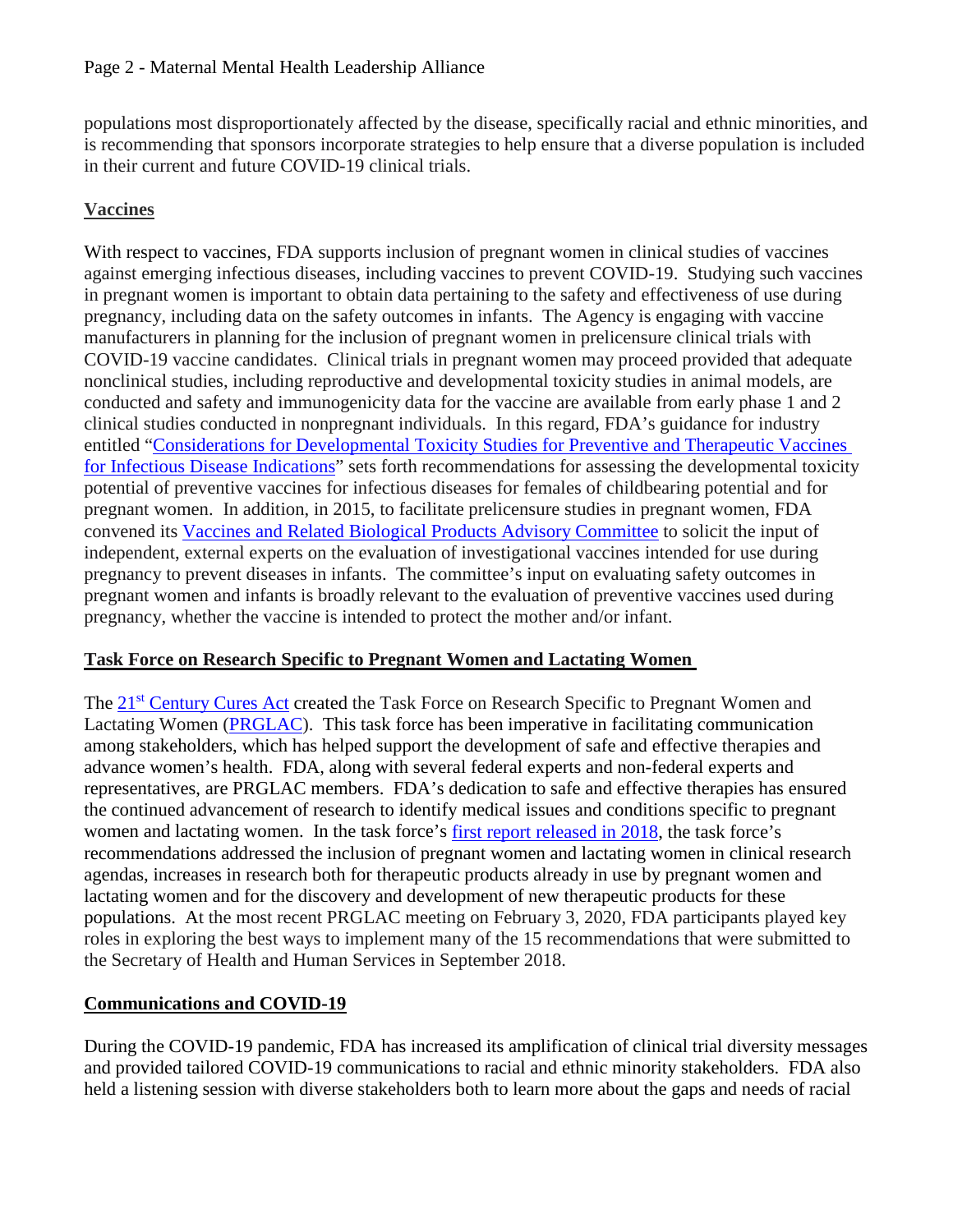populations most disproportionately affected by the disease, specifically racial and ethnic minorities, and is recommending that sponsors incorporate strategies to help ensure that a diverse population is included in their current and future COVID-19 clinical trials.

# **Vaccines**

With respect to vaccines, FDA supports inclusion of pregnant women in clinical studies of vaccines against emerging infectious diseases, including vaccines to prevent COVID-19. Studying such vaccines in pregnant women is important to obtain data pertaining to the safety and effectiveness of use during pregnancy, including data on the safety outcomes in infants. The Agency is engaging with vaccine manufacturers in planning for the inclusion of pregnant women in prelicensure clinical trials with COVID-19 vaccine candidates. Clinical trials in pregnant women may proceed provided that adequate nonclinical studies, including reproductive and developmental toxicity studies in animal models, are conducted and safety and immunogenicity data for the vaccine are available from early phase 1 and 2 clinical studies conducted in nonpregnant individuals. In this regard, FDA's guidance for industry entitled ["Considerations for Developmental Toxicity Studies for Preventive and Therapeutic Vaccines](https://www.fda.gov/media/73986/download)  [for Infectious Disease Indications"](https://www.fda.gov/media/73986/download) sets forth recommendations for assessing the developmental toxicity potential of preventive vaccines for infectious diseases for females of childbearing potential and for pregnant women. In addition, in 2015, to facilitate prelicensure studies in pregnant women, FDA convened its [Vaccines and Related Biological Products Advisory Committee](http://wayback.archive-it.org/7993/20170404142718/https:/www.fda.gov/AdvisoryCommittees/CommitteesMeetingMaterials/BloodVaccinesandOtherBiologics/VaccinesandRelatedBiologicalProductsAdvisoryCommittee/ucm427602.htm) to solicit the input of independent, external experts on the evaluation of investigational vaccines intended for use during pregnancy to prevent diseases in infants. The committee's input on evaluating safety outcomes in pregnant women and infants is broadly relevant to the evaluation of preventive vaccines used during pregnancy, whether the vaccine is intended to protect the mother and/or infant.

#### **Task Force on Research Specific to Pregnant Women and Lactating Women**

The 21<sup>st</sup> [Century Cures Act](https://www.fda.gov/regulatory-information/selected-amendments-fdc-act/21st-century-cures-act) created the Task Force on Research Specific to Pregnant Women and Lactating Women [\(PRGLAC\)](https://www.nichd.nih.gov/news/releases/Pages/060717-PRGLAC.aspx). This task force has been imperative in facilitating communication among stakeholders, which has helped support the development of safe and effective therapies and advance women's health. FDA, along with several federal experts and non-federal experts and representatives, are PRGLAC members. FDA's dedication to safe and effective therapies has ensured the continued advancement of research to identify medical issues and conditions specific to pregnant women and lactating women. In the task force's [first report released in 2018,](https://www.nichd.nih.gov/sites/default/files/2018-09/PRGLAC_Report.pdf) the task force's recommendations addressed the inclusion of pregnant women and lactating women in clinical research agendas, increases in research both for therapeutic products already in use by pregnant women and lactating women and for the discovery and development of new therapeutic products for these populations. At the most recent PRGLAC meeting on February 3, 2020, FDA participants played key roles in exploring the best ways to implement many of the 15 recommendations that were submitted to the Secretary of Health and Human Services in September 2018.

## **Communications and COVID-19**

During the COVID-19 pandemic, FDA has increased its amplification of clinical trial diversity messages and provided tailored COVID-19 communications to racial and ethnic minority stakeholders. FDA also held a listening session with diverse stakeholders both to learn more about the gaps and needs of racial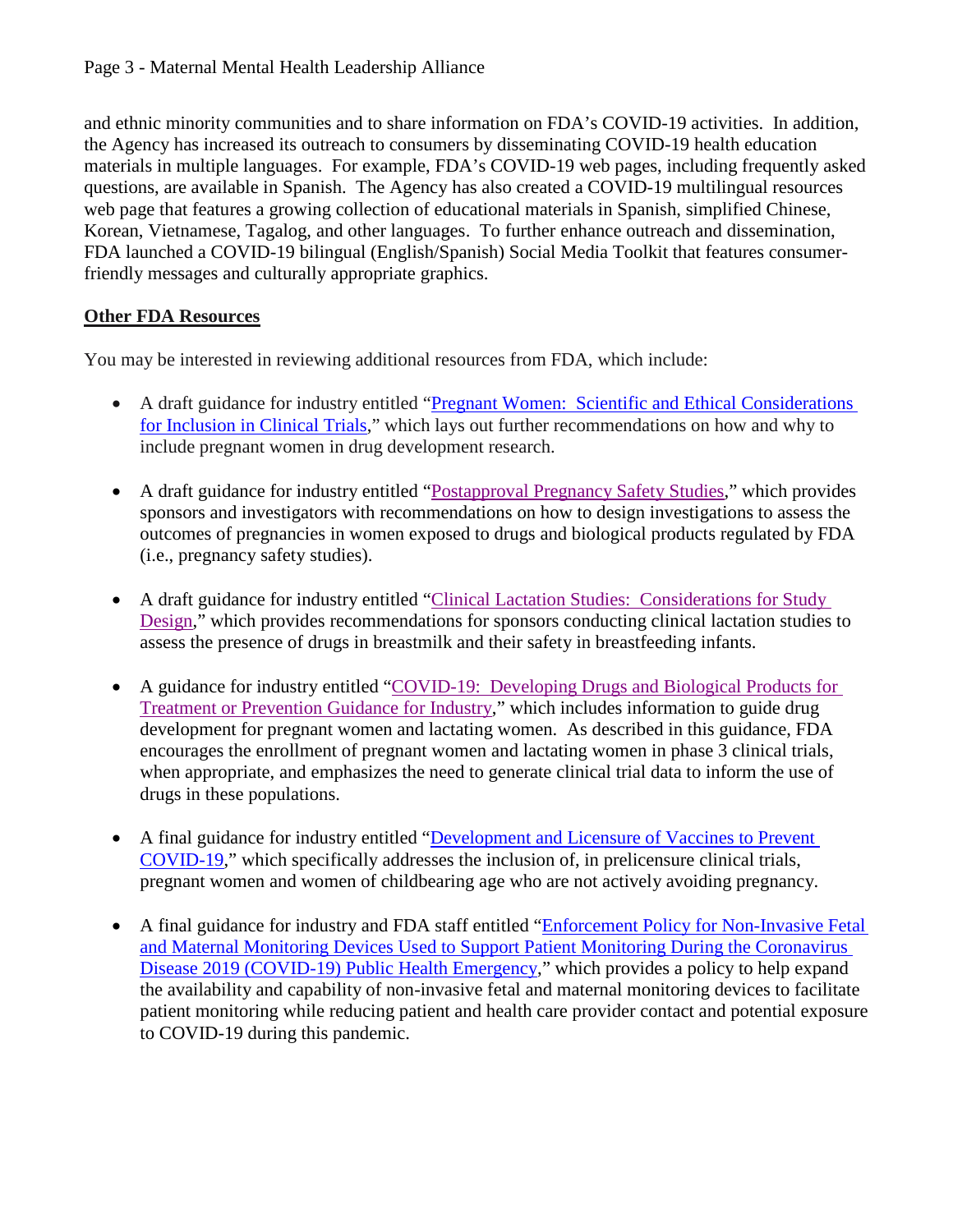and ethnic minority communities and to share information on FDA's COVID-19 activities. In addition, the Agency has increased its outreach to consumers by disseminating COVID-19 health education materials in multiple languages. For example, FDA's COVID-19 web pages, including frequently asked questions, are available in Spanish. The Agency has also created a COVID-19 multilingual resources web page that features a growing collection of educational materials in Spanish, simplified Chinese, Korean, Vietnamese, Tagalog, and other languages. To further enhance outreach and dissemination, FDA launched a COVID-19 bilingual (English/Spanish) Social Media Toolkit that features consumerfriendly messages and culturally appropriate graphics.

## **Other FDA Resources**

You may be interested in reviewing additional resources from FDA, which include:

- A draft guidance for industry entitled ["Pregnant Women: Scientific and Ethical Considerations](https://www.fda.gov/media/112195/download) [for Inclusion in Clinical Trials,](https://www.fda.gov/media/112195/download)" which lays out further recommendations on how and why to include pregnant women in drug development research.
- A draft guidance for industry entitled ["Postapproval Pregnancy Safety Studies,](https://www.fda.gov/media/124746/download)" which provides sponsors and investigators with recommendations on how to design investigations to assess the outcomes of pregnancies in women exposed to drugs and biological products regulated by FDA (i.e., pregnancy safety studies).
- A draft guidance for industry entitled ["Clinical Lactation Studies: Considerations for Study](https://www.fda.gov/media/124749/download) [Design,](https://www.fda.gov/media/124749/download)" which provides recommendations for sponsors conducting clinical lactation studies to assess the presence of drugs in breastmilk and their safety in breastfeeding infants.
- A guidance for industry entitled ["COVID-19: Developing Drugs and Biological Products for](https://www.fda.gov/media/137926/download) [Treatment or Prevention Guidance for Industry,](https://www.fda.gov/media/137926/download)" which includes information to guide drug development for pregnant women and lactating women. As described in this guidance, FDA encourages the enrollment of pregnant women and lactating women in phase 3 clinical trials, when appropriate, and emphasizes the need to generate clinical trial data to inform the use of drugs in these populations.
- A final guidance for industry entitled ["Development and Licensure of Vaccines to Prevent](https://www.fda.gov/regulatory-information/search-fda-guidance-documents/development-and-licensure-vaccines-prevent-covid-19) [COVID-19,](https://www.fda.gov/regulatory-information/search-fda-guidance-documents/development-and-licensure-vaccines-prevent-covid-19)" which specifically addresses the inclusion of, in prelicensure clinical trials, pregnant women and women of childbearing age who are not actively avoiding pregnancy.
- A final guidance for industry and FDA staff entitled ["Enforcement Policy for Non-Invasive Fetal](https://www.fda.gov/media/137286/download) [and Maternal Monitoring Devices Used to Support Patient Monitoring During the Coronavirus](https://www.fda.gov/media/137286/download) [Disease 2019 \(COVID-19\) Public Health Emergency,](https://www.fda.gov/media/137286/download)" which provides a policy to help expand the availability and capability of non-invasive fetal and maternal monitoring devices to facilitate patient monitoring while reducing patient and health care provider contact and potential exposure to COVID-19 during this pandemic.